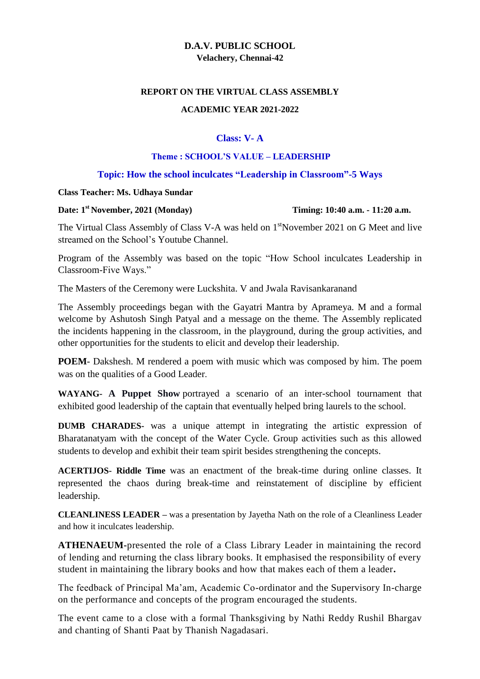# **D.A.V. PUBLIC SCHOOL Velachery, Chennai-42**

#### **REPORT ON THE VIRTUAL CLASS ASSEMBLY**

### **ACADEMIC YEAR 2021-2022**

# **Class: V- A**

#### **Theme : SCHOOL'S VALUE – LEADERSHIP**

### **Topic: How the school inculcates "Leadership in Classroom"-5 Ways**

#### **Class Teacher: Ms. Udhaya Sundar**

#### **Date: 1st November, 2021 (Monday) Timing: 10:40 a.m. - 11:20 a.m.**

The Virtual Class Assembly of Class V-A was held on 1<sup>st</sup>November 2021 on G Meet and live streamed on the School's Youtube Channel.

Program of the Assembly was based on the topic "How School inculcates Leadership in Classroom-Five Ways."

The Masters of the Ceremony were Luckshita. V and Jwala Ravisankaranand

The Assembly proceedings began with the Gayatri Mantra by Aprameya. M and a formal welcome by Ashutosh Singh Patyal and a message on the theme. The Assembly replicated the incidents happening in the classroom, in the playground, during the group activities, and other opportunities for the students to elicit and develop their leadership.

**POEM**- Dakshesh. M rendered a poem with music which was composed by him. The poem was on the qualities of a Good Leader.

**WAYANG- A Puppet Show** portrayed a scenario of an inter-school tournament that exhibited good leadership of the captain that eventually helped bring laurels to the school.

**DUMB CHARADES-** was a unique attempt in integrating the artistic expression of Bharatanatyam with the concept of the Water Cycle. Group activities such as this allowed students to develop and exhibit their team spirit besides strengthening the concepts.

**ACERTIJOS- Riddle Time** was an enactment of the break-time during online classes. It represented the chaos during break-time and reinstatement of discipline by efficient leadership.

**CLEANLINESS LEADER –** was a presentation by Jayetha Nath on the role of a Cleanliness Leader and how it inculcates leadership.

**ATHENAEUM-**presented the role of a Class Library Leader in maintaining the record of lending and returning the class library books. It emphasised the responsibility of every student in maintaining the library books and how that makes each of them a leader**.**

The feedback of Principal Ma'am, Academic Co-ordinator and the Supervisory In-charge on the performance and concepts of the program encouraged the students.

The event came to a close with a formal Thanksgiving by Nathi Reddy Rushil Bhargav and chanting of Shanti Paat by Thanish Nagadasari.